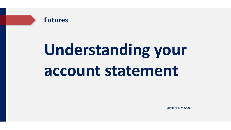

Version: July 2020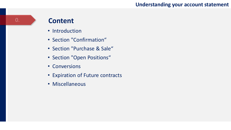### **Content**

0.

- Introduction
- Section "Confirmation"
- Section "Purchase & Sale"
- Section "Open Positions"
- Conversions
- Expiration of Future contracts
- Miscellaneous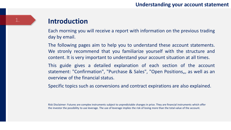### **Introduction**

Each morning you will receive a report with information on the previous trading day by email.

The following pages aim to help you to understand these account statements. We stronly recommend that you familiarize yourself with the structure and content. It is very important to understand your account situation at all times.

This guide gives a detailed explanation of each section of the account statement: "Confirmation", "Purchase & Sales", "Open Positions,,, as well as an overview of the financial status.

Specific topics such as conversions and contract expirations are also explained.

Risk Disclaimer: Futures are complex instruments subject to unpredictable changes in price. They are financial instruments which offer the investor the possibility to use leverage. The use of leverage implies the risk of losing more than the total value of the account.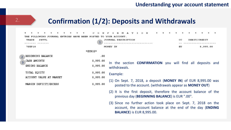### **Confirmation (1/2): Deposits and Withdrawals**

|                | FOLLOWING JOURNAL ENTRIES HAVE BEEN POSTED TO                         |                                         | YOUR ACCOUNT.                                                                                                                                                            |
|----------------|-----------------------------------------------------------------------|-----------------------------------------|--------------------------------------------------------------------------------------------------------------------------------------------------------------------------|
|                | TRADE<br>SETTL<br>7SEP18                                              |                                         | JOURNAL DESCRIPTION<br>$\rm ^{cc}$<br>DEBIT/CREDIT<br>8,995.00<br>MONEY IN<br>EU                                                                                         |
|                |                                                                       | *EUROS*                                 |                                                                                                                                                                          |
| $\overline{3}$ | 2 BEGINNING BALANCE<br>CASH AMOUNTS<br>ENDING BALANCE<br>TOTAL EQUITY | .00<br>8,995.00<br>8,995.00<br>8,995.00 | In the section <b>CONFIRMATION</b> you will find all deposits and<br>withdrawals.                                                                                        |
|                | ACCOUNT VALUE AT MARKET<br>MARGIN DEFICIT/EXCESS                      | 8,995.00<br>8,995.00                    | Example:<br>(1) On Sept. 7, 2018, a deposit (MONEY IN) of EUR 8,995.00 was<br>posted to the account. (withdrawals appear as <b>MONEY OUT</b> )                           |
|                |                                                                       |                                         | (2) It is the first deposit, therefore the account balance of the<br>previous day (BEGINNING BALANCE) is EUR ".00".                                                      |
|                |                                                                       |                                         | (3) Since no further action took place on Sept. 7, 2018 on the<br>account, the account balance at the end of the day ( <b>ENDING</b><br><b>BALANCE)</b> is EUR 8,995.00. |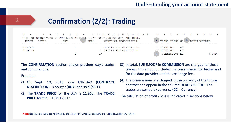# **Confirmation (2/2): Trading**



The **CONFIRMATION** section shows previous day's trades and commissions.

Example:

- (1) On Sept. 10, 2018, one MINIDAX (**CONTRACT DESCRIPTION**) is bought (**BUY**) and sold (**SELL**).
- (2) The **TRADE PRICE** for the BUY is 11,962. The **TRADE PRICE** for the SELL is 12,013.
- (3) In total, EUR 5.90DR in **COMMISSION** are charged for these trades. This amount includes the commissions for broker and for the data provider, and the exchange fee.
- (4) The commissions are charged in the currency of the future contract and appear in the column **DEBIT / CREDIT**. The trades are sorted by currency (**CC** = Currency).

The calculation of profit / loss is indicated in sections below.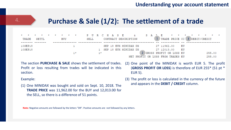| * * * * * * * * * PURCHASE & SALE * * * * * * * *<br>TRADE SETTL |  | BUY |  | SELL |  |  | CONTRACT DESCRIPTION    |  |  | 1 TRADE PRICE CC 3 DEBIT/CREDIT    |           |  |               |  |
|------------------------------------------------------------------|--|-----|--|------|--|--|-------------------------|--|--|------------------------------------|-----------|--|---------------|--|
| 10SEP18                                                          |  |     |  |      |  |  | SEP 18 EUX MINIDAX DX   |  |  | 27 11962.00                        | - EU      |  |               |  |
| 10SEP18                                                          |  |     |  |      |  |  | 1 SEP 18 EUX MINIDAX DX |  |  | 27 12013.00                        | <b>EU</b> |  |               |  |
|                                                                  |  |     |  |      |  |  |                         |  |  | 2 GROSS PROFIT OR LOSS EU          |           |  | 255.00        |  |
|                                                                  |  |     |  |      |  |  |                         |  |  | NET DDAFTT AD TASS FDAM TDARES FIL |           |  | <b>DEE OO</b> |  |

The section **PURCHASE & SALE** shows the settlement of trades. Profit or loss resulting from trades will be indicated in this section.

Example:

- (1) One MINIDAX was bought and sold on Sept. 10, 2018. The **TRADE PRICE** was 11,962.00 for the BUY and 12,013.00 for the SELL, so there is a difference of 51 points.
- (2) One point of the MINIDAX is worth EUR 5. The profit (**GROSS PROFIT OR LOSS**) is therefore of EUR 255\* (51 pt \* EUR 5).
- (3) The profit or loss is calculated in the currency of the future and appears in the **DEBIT / CREDIT** column.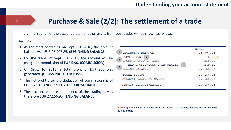### **Purchase & Sale (2/2): The settlement of a trade**

In the final section of the account statement the results from your trades will be shown as follows:

#### Example:

5.

- (1) At the start of trading on Sept. 10, 2018, the account balance was EUR 26,907.85. (**BEGINNING BALANCE)**
- (2) For the trades of Sept. 10, 2018, the account will be charged a commission of EUR 5.90. (**COMMISSION)**
- (3) On Sept. 10, 2018, a total profit of EUR 255 was generated. **(GROSS PROFIT OR LOSS)**
- (4) The net profit after the deduction of commissions is of EUR 249.10. **(NET PROFIT/LOSS FROM TRADES)**.
- (5) The account balance at the end of the trading day is therefore EUR 27,156.95. **(ENDING BALANCE)**

|                                               | $*$ EUROS $*$ |
|-----------------------------------------------|---------------|
| BEGINNING BALANCE                             | 26,907.85     |
| COMMISSION<br>$\mathcal{D}$                   | 5.90DR        |
| 3<br>GROSS PROFIT OR LOSS                     | 255.00        |
| NET PROFIT/LOSS FROM TRADES<br>$\overline{4}$ | 249.10        |
| 5<br>ENDING BALANCE                           | 27,156.95     |
| TOTAL EQUITY                                  | 27,156.95     |
| ACCOUNT VALUE AT MARKET                       | 27,156.95     |
|                                               |               |
| MARGIN DEFICIT/EXCESS                         | 27, 156.95    |
|                                               |               |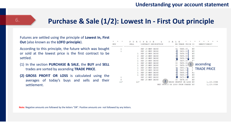### 6. **Purchase & Sale (1/2): Lowest In - First Out principle**

**BUY** 

#### Futures are settled using the principle of **Lowest In, First Out** (also known as the **LOFO principle**).

According to this principle, the future which was bought or sold at the lowest price is the first contract to be settled.

- (1) In the section **PURCHASE & SALE**, the **BUY** and **SELL** trades are sorted by ascending **TRADE PRICE**.
- **(2) GROSS PROFIT OR LOSS** is calculated using the averages of today's buys and sells and their settlement.

|       | R<br>U | н   | А        | s | Ε                |            | s | A     |              | Ε                 |    |        |                    |              |            |  |
|-------|--------|-----|----------|---|------------------|------------|---|-------|--------------|-------------------|----|--------|--------------------|--------------|------------|--|
|       | SELL   |     | CONTRACT |   | DESCRIPTION      |            |   |       |              | EX TRADE PRICE CC |    |        |                    | DEBIT/CREDIT |            |  |
|       |        | SEP | 18       |   | MNP CAC40        |            |   |       | 30           | 5448.00           |    | EU     |                    |              |            |  |
|       |        |     | SEP 18   |   | MNP CAC40        |            |   |       | 30           | 5450.50           |    | EU     |                    |              |            |  |
|       |        |     |          |   | SEP 18 MNP CAC40 |            |   |       |              | 5454.50           |    | EU     |                    |              |            |  |
|       |        |     |          |   | SEP 18 MNP CAC40 |            |   |       | 3(           | 5455.50           |    | EU     |                    |              |            |  |
|       |        |     |          |   | SEP 18 MNP CAC40 |            |   |       | 3.0          | 5456.50           |    | EU     |                    |              |            |  |
|       |        |     |          |   | SEP 18 MNP CAC40 |            |   |       | 30           | 5457.50           |    | $E***$ |                    |              |            |  |
|       |        |     |          |   | SEP 18 MNP CAC40 |            |   |       | 30           | 5458.50           |    |        |                    |              |            |  |
|       |        |     |          |   | SEP 18 MNP CAC40 |            |   |       | 30           | 5459.50           | 1  |        | ascending          |              |            |  |
|       |        |     |          |   | SEP 18 MNP CAC40 |            |   |       | 30           | 5460.00           |    |        |                    |              |            |  |
|       |        |     |          |   | SEP 18 MNP CAC40 |            |   |       | $\mathbf{3}$ | 5460.50           |    |        | <b>TRADE PRICE</b> |              |            |  |
|       |        | SEP |          |   | 18 MNP CAC40     |            |   |       | 31           | 5466.00           |    | Eu     |                    |              |            |  |
|       |        |     | SEP 18   |   | MNP CAC40        |            |   |       | 30           | 5468.00           |    | EU     |                    |              |            |  |
|       |        |     | SEP 18   |   | MNP CAC40        |            |   |       |              | 5473.50           |    | EU     |                    |              |            |  |
|       |        |     |          |   | SEP 18 MNP CAC40 |            |   |       | 30           | 5474.00           |    | EU     |                    |              |            |  |
| $11*$ | $11*$  |     |          |   |                  |            |   | GROSS |              | PROFIT OR LOSS    |    | EU     |                    |              | 1,120.00DR |  |
|       |        |     |          |   |                  | NET PROFIT |   | OR.   |              | LOSS FROM TRADES  | EU |        |                    |              | 1,120.00DR |  |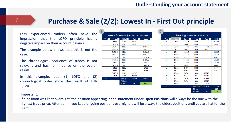v (CAC40) - 27.08.2018 Side  $\nabla$ 

**SELL** 

**SELL** 

**BUY** 

**BUY** 

**SELL** 

**SELL** 

**SELL** 

**SELL** 

**SELL** 

**SELL** 

**SELL** 

**SELL** 

**BUY** 

**BUY** 

**BUY** 

**BUY** 

**BUY** 

Average

**Diff Avg** 

**Ticksize** 

BUY **E** 

5450.5

5448

10948

10948

10948

10948

5473.5

60164

 $10<sub>1</sub>$ 

 $SEUL$ 

10911

5460

5454.5

5456.5

5457.5

5458.5

5459.5

5460.5

5466

5468

60052

112

1120

### **Purchase & Sale (2/2): Lowest In - First Out principle**

Less experienced traders often have the impression that the LOFO principle has a negative impact on their account balance.

The example below shows that this is not the case.

The chronological sequence of trades is not relevant and has no influence on the overall result.

In this example, both (1) LOFO and (2) chronological order show the result of EUR 1,120.

|                              |                               |                          | Lowest In / First Out (CAC40) - 27.08.2018 |                                         |                          |                           | <b>Chronology (CA</b>         |              |
|------------------------------|-------------------------------|--------------------------|--------------------------------------------|-----------------------------------------|--------------------------|---------------------------|-------------------------------|--------------|
| Vol. $\overline{\mathbf{v}}$ | Price $\overline{\mathbf{v}}$ | Side $\overline{\nabla}$ | <b>BUY</b><br>$\vert \cdot \vert$          | <b>SELL</b><br>$\overline{\phantom{a}}$ | $\overline{\phantom{a}}$ | Vol. $\boxed{\mathbf{v}}$ | Time $\vert \mathbf{v} \vert$ | <b>Price</b> |
| 1                            | 5448                          | <b>BUY</b>               | 5448                                       |                                         |                          | 2                         | 08:01                         | 5455.5       |
| $\mathbf{1}$                 | 5450.5                        | <b>BUY</b>               | 5450.5                                     |                                         |                          | 1                         | 08:11                         | 5460         |
| 1                            | 5454.5                        | <b>SELL</b>              |                                            | 5454.5                                  |                          | 1                         | 08:29                         | 5450.5       |
| $\overline{2}$               | 5455.5                        | <b>SELL</b>              |                                            | 10911                                   |                          | 1                         | 08:31                         | 5448         |
| 1                            | 5456.5                        | <b>SELL</b>              |                                            | 5456.5                                  |                          | 1                         | 13:01                         | 5454.5       |
| 1                            | 5457.5                        | <b>SELL</b>              |                                            | 5457.5                                  |                          | 1                         | 13:06                         | 5456.5       |
| 1                            | 5458.5                        | <b>SELL</b>              |                                            | 5458.5                                  |                          | 1                         | 13:08                         | 5457.5       |
| 1                            | 5459.5                        | <b>SELL</b>              |                                            | 5459.5                                  |                          | 1                         | 13:08                         | 5458.5       |
| $\mathbf{1}$                 | 5460                          | <b>SELL</b>              |                                            | 5460                                    |                          | $\mathbf{1}$              | 13:13                         | 5459.5       |
| 1                            | 5460.5                        | <b>SELL</b>              |                                            | 5460.5                                  |                          | 1                         | 13:19                         | 5460.5       |
| $\mathbf{1}$                 | 5466                          | <b>SELL</b>              |                                            | 5466                                    |                          | 1                         | 13:22                         | 5466         |
| 1                            | 5468                          | <b>SELL</b>              |                                            | 5468                                    |                          | 1                         | 13:25                         | 5468         |
| $\mathbf{1}$                 | 5473.5                        | <b>BUY</b>               | 5473.5                                     |                                         |                          | $\overline{a}$            | 13:40                         | 5474         |
| 8                            | 5474                          | <b>BUY</b>               | 43792                                      |                                         |                          | $\overline{\mathbf{z}}$   | 13:41                         | 5474         |
| 22                           |                               | Average                  | 60164                                      | 60052                                   |                          | $\overline{a}$            | 13:42                         | 5474         |
|                              |                               | Diff Avg                 |                                            | 112                                     |                          | $\overline{a}$            | 13:45                         | 5474         |
|                              |                               | <b>Ticksize</b>          | 10                                         | 1120                                    |                          | 1                         | 14:02                         | 5473.5       |
|                              |                               |                          |                                            |                                         |                          | 22                        |                               |              |

#### **Important:**

If a position was kept overnight, the position appearing in the statement under **Open Positions** will always be the one with the highest trade price. Attention: If you keep ongoing positions overnight it will be always the oldest positions until you are flat for the night.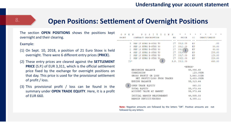### **Open Positions: Settlement of Overnight Positions** 8.

 $-$ 

The section **OPEN POSITIONS** shows the positions kept overnight and their clearing.

Example:

- (1) On Sept. 10, 2018, a position of 21 Euro Stoxx is held overnight. There were 6 different entry prices (**PRICE**).
- (2) These entry prices are cleared against the **SETTLEMENT PRICE** (S.P.) of EUR 3,311, which is the official settlement price fixed by the exchange for overnight positions on that day. This price is used for the provisional settlement of profit / loss.
- (3) This provisional profit / loss can be found in the summary under **OPEN TRADE EQUITY**. Here, it is a profit of EUR 660.

| $O$ $P$<br>OSITI<br>S.<br>E.<br>P<br>$\circ$<br>N<br>N<br>SHORT<br>CONTRACT DESCRIPTION | $\star$<br>$\star$<br>$\star$<br>$\ast$<br>$\star$<br>EX PRICE CC DEBIT/CREDIT |
|-----------------------------------------------------------------------------------------|--------------------------------------------------------------------------------|
| 3 SEP 18 EURX E-STXX 50                                                                 | 27 3311.00 EU<br>.00                                                           |
| R.<br>SEP 18 EURX E-STXX 50                                                             | 27 3312.00 EU<br>80.00                                                         |
| 27 3313<br>$2^{\circ}$<br>SEP 18 EURX E-STXX 50                                         | $1$ EU<br>40.00                                                                |
| 4<br>SEP 18 EURX E-STXX 50                                                              | 27, 3316,<br>EU<br>200.00                                                      |
| $\mathfrak{D}$<br>SEP 18 EURX E-STXX 50 27 3317.00 EU                                   | 120.00                                                                         |
| 2<br>SEP 18 EURX E-STXX 50.                                                             | 27 3322.00 EU<br>220.00                                                        |
| $2^{\circ}$<br>$21*$                                                                    | S.P. 3311.00<br>660.00                                                         |
|                                                                                         | *EUROS*                                                                        |
| BEGINNING BALANCE                                                                       | 58,996.49                                                                      |
| COMMISSION                                                                              | 123.05DR                                                                       |
| GROSS PROFIT OR LOSS                                                                    | 3,560.00DR                                                                     |
| NET PROFIT/LOSS FROM TRADES                                                             | 3,683.05DR                                                                     |
| ENDING BALANCE                                                                          | 55, 313.44                                                                     |
| 3<br>OPEN TRADE EQUITY                                                                  | 660.00                                                                         |
| TOTAL EQUITY                                                                            | 55, 973.44                                                                     |
| ACCOUNT VALUE AT MARKET                                                                 | 55, 973. 44                                                                    |
| INITIAL MARGIN REOUIREMENT                                                              | 49,585.33                                                                      |
| MARGIN DEFICIT/EXCESS                                                                   | 6,388.11                                                                       |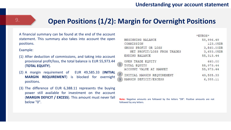### **Open Positions (1/2): Margin for Overnight Positions**

A financial summary can be found at the end of the account statement. This summary also takes into account the open positions.

#### Example:

- (1) After deduction of commissions, and taking into account provisional profit/loss, the total balance is EUR 55,973.44 (**TOTAL EQUITY**).
- (2) A margin requirement of EUR 49,585.33 (**INITIAL MARGIN REQUIREMENT**) is blocked for overnight positions.
- (3) The difference of EUR 6,388.11 represents the buying power still available for investment on the account (**MARGIN DEFICIT / EXCESS**). This amount must never fall below "0".

|                                              | *EUROS*    |
|----------------------------------------------|------------|
| BEGINNING BALANCE                            | 58,996.49  |
| COMMISSION                                   | 123.05DR   |
| GROSS PROFIT OR LOSS                         | 3,560.00DR |
| NET PROFIT/LOSS FROM TRADES                  | 3,683.05DR |
| ENDING BALANCE                               | 55, 313.44 |
| OPEN TRADE EQUITY                            | 660.00     |
| $1 -$<br>TOTAL EQUITY                        | 55, 973.44 |
| ACCOUNT VALUE AT MARKET                      | 55, 973.44 |
| $\overline{2}$<br>INITIAL MARGIN REQUIREMENT | 49,585.33  |
| MARGIN DEFICIT/EXCESS<br>$\overline{3}$      | 6,388.11   |
|                                              |            |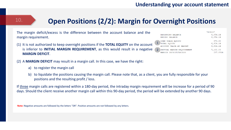# **Open Positions (2/2): Margin for Overnight Positions**

The margin deficit/excess is the difference between the account balance and the margin requirement.

- (1) It is not authorized to keep overnight positions if the **TOTAL EQUITY** on the account is inferior to **INITIAL MARGIN REQUIREMENT**, as this would result in a negative **MARGIN DEFICIT**.
- (2) A **MARGIN DEFICIT** may result in a margin call. In this case, we have the right:
	- a) to register the margin call

10.

b) to liquidate the positions causing the margin call. Please note that, as a client, you are fully responsible for your positions and the resulting profit / loss.

If three margin calls are registered within a 180-day period, the intraday margin requirement will be increase for a period of 90 days. Should the client receive another margin call within this 90-day period, the period will be extended by another 90 days.

|                            | *EUROS*  |
|----------------------------|----------|
| BEGINNING BALANCE          | 6,054.14 |
| ENDING BALANCE             | 6,054.14 |
| OPEN TRADE EQUITY          | 870.00   |
| <b>TOTAL EQUITY</b>        | 6,924.14 |
| ACCOUNT VALUE AT MARKET    | 6.924.14 |
| INITIAL MARGIN REQUIREMENT | 7.132.03 |
| MARGIN DEFICIT/EXCESS      | 207.89DI |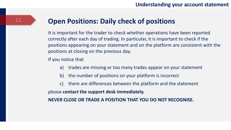### **Open Positions: Daily check of positions**

It is important for the trader to check whether operations have been reported correctly after each day of trading. In particular, it is important to check if the positions appearing on your statement and on the platform are consistent with the positions at closing on the previous day.

If you notice that

- a) trades are missing or too many trades appear on your statement
- b) the number of positions on your platform is incorrect
- c) there are differences between the platform and the statement

please **contact the support desk immediately.** 

**NEVER CLOSE OR TRADE A POSITION THAT YOU DO NOT RECOGNISE.**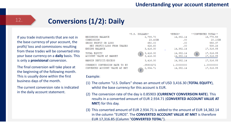## **Conversions (1/2): Daily**

If you trade instruments that are not in the base currency of your account, the profit/ loss and commissions resulting from these trades will be converted into your base currency on a **daily** basis. This is only a **provisional** conversion.

12.

The final conversion will take place at the beginning of the following month. This is usually done within the first business days of the month.

The current conversion rate is indicated in the daily account statement.

|                                | $*U.S.$ DOLLARS*           | *EUROS*    | **CONVERTED TOTAL** |
|--------------------------------|----------------------------|------------|---------------------|
| BEGINNING BALANCE              | 2,789.70                   | 14,382.14  | 16,778.59           |
| COMMISSION                     | 23.40DR                    | .00        | 20.10DR             |
| GROSS PROFIT OR LOSS           | 650.00                     | .00        | 558.37              |
| NET PROFIT/LOSS FROM TRADES    | 626.60                     | .00        | 538.26              |
| <b>ENDING BALANCE</b>          | 3,416.30                   | 14,382.14  | 17,316.85           |
| TOTAL EOUITY                   | 3,416.30                   | 14,382.14  | 17,316.85<br>3      |
| ACCOUNT VALUE AT MARKET        | 3,416.30                   | 14,382.14  | 17,316.85           |
| MARGIN DEFICIT/EXCESS          | 3,416.30                   | 14,382.14  | 17,316.85           |
| CURRENCY CONVERSION RATE TO EU | .85903272                  | 1,00000000 | 1,00000000          |
| CONVERTED ACCOUNT VALUE AT MKT | 2,934.71<br>$\overline{2}$ | 14,382.14  | 17,316.85           |

#### Example:

- (1) The column "U.S. Dollars" shows an amount of USD 3,416.30 (**TOTAL EQUITY**), whilst the base currency for this account is EUR.
- (2) The conversion rate of the day is 0.85903 (**CURRENCY CONVERSION RATE**). This results in a converted amount of EUR 2.934.71 (**CONVERTED ACCOUNT VALUE AT MKT**) for this day.
- (3) This converted amount of EUR 2.934.71 is added to the amount of EUR 14,382.14 in the column "EUROS". The **CONVERTED ACCOUNT VALUE AT MKT** is therefore EUR 17,316.85 (Column "**CONVERTED TOTAL**").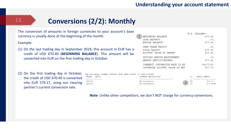### 13.

## **Conversions (2/2): Monthly**

The conversion of amounts in foreign currencies to your account's base currency is usually done at the beginning of the month.

Example:

- (1) On the last trading day in September 2018, this account in EUR has a credit of USD 670.40 (**BEGINNING BALANCE**). This amount will be converted into EUR on the first trading day in October.
- (2) On the first trading day in October, the credit of USD 670.40 is converted into EUR 579.17, using our clearing partner's current conversion rate.

| 20CT18<br>FX Conversion<br>20CT18<br>FX Conversion | TRADE. | SETTI. |  |  |  |  | THE FOLLOWING JOURNAL ENTRIES HAVE BEEN POSTED TO YOUR ACCOUNT.<br>JOURNAL DESCRIPTION |  |
|----------------------------------------------------|--------|--------|--|--|--|--|----------------------------------------------------------------------------------------|--|
|                                                    |        |        |  |  |  |  |                                                                                        |  |
|                                                    |        |        |  |  |  |  |                                                                                        |  |

1

|                                | *U.S. DOLLARS* |
|--------------------------------|----------------|
| <b>BEGINNING BALANCE</b>       | 670.40         |
| CASH AMOUNTS                   | .00            |
| <b>ENDING BALANCE</b>          | 670.40         |
| OPEN TRADE EQUITY              | .00            |
| TOTAL EQUITY                   | 670.40         |
| ACCOUNT VALUE AT MARKET        | 670.40         |
| INITIAL MARGIN REQUIREMENT     | .00            |
| MARGIN DEFICIT/EXCESS          | 670.40         |
| CURRENCY CONVERSION RATE TO EU | .86177180      |
| CONVERTED ACCOUNT VALUE AT MKT | 577.73         |

2

ΕU US DEBIT/CREDIT

579.17

670.40DR

**Note**: Unlike other competitors, we don't NOT charge for currency conversions.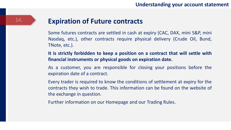### **Expiration of Future contracts**

Some futures contracts are settled in cash at expiry (CAC, DAX, mini S&P, mini Nasdaq, etc.), other contracts require physical delivery (Crude Oil, Bund, TNote, etc.).

**It is strictly forbidden to keep a position on a contract that will settle with financial instruments or physical goods on expiration date.**

As a customer, you are responsible for closing your positions before the expiration date of a contract.

Every trader is required to know the conditions of settlement at expiry for the contracts they wish to trade. This information can be found on the website of the exchange in question.

Further information on our Homepage and our Trading Rules.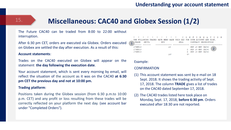### **Miscellaneous: CAC40 and Globex Session (1/2)** 15.

The Future CAC40 can be traded from 8:00 to 22:00 without interruption.

After 6:30 pm CET, orders are executed via Globex. Orders executed  $\left(1\right)$ on Globex are settled the day after execution. As a result of this:

#### **Account statements**:

Trades on the CAC40 executed on Globex will appear on the statement **the day following the execution date**.

Your account statement, which is sent every morning by email, will reflect the situation of the account as it was on the CAC40 **at 6:30 pm CET the previous day and not at 10:00 pm.**

#### **Trading platform**:

Positions taken during the Globex session (from 6:30 p.m.to 10:00 p.m. CET) and any profit or loss resulting from these trades will be correctly reflected on your platform the next day. (see account bar under "Completed Orders").

|         |       | * * * * * * * * * * CONFIRMATION                                        |     |     |       |    |  |                      |  |  |  |
|---------|-------|-------------------------------------------------------------------------|-----|-----|-------|----|--|----------------------|--|--|--|
|         |       | THE FOLLOWING TRADES HAVE BEEN MADE THIS DAY FOR YOUR ACCOUNT AND RISK. |     |     |       |    |  |                      |  |  |  |
| TRADE   | SETTL |                                                                         | BUY |     | SELL. |    |  | CONTRACT DESCRIPTION |  |  |  |
|         |       |                                                                         |     |     |       |    |  |                      |  |  |  |
| 17SEP18 |       |                                                                         |     | -16 |       |    |  | SEP 18 MNP CAC40     |  |  |  |
| 17SEP18 |       |                                                                         |     |     |       |    |  | 2 SEP 18 MNP CAC40   |  |  |  |
| 17SEP18 |       |                                                                         |     |     |       |    |  | 6 SEP 18 MNP CAC40   |  |  |  |
|         |       |                                                                         |     | 16x |       | 只食 |  |                      |  |  |  |

#### Example:

#### **CONFIRMATION**

- (1) This account statement was sent by e-mail on 18 Sept. 2018. It shows the trading activity of Sept. 17, 2018. The column **TRADE** gives a list of trades on the CAC40 dated September 17, 2018.
- (2) The CAC40 trades listed here took place on Monday, Sept. 17, 2018, **before 6:30 pm**. Orders executed after 18:30 are not reported.